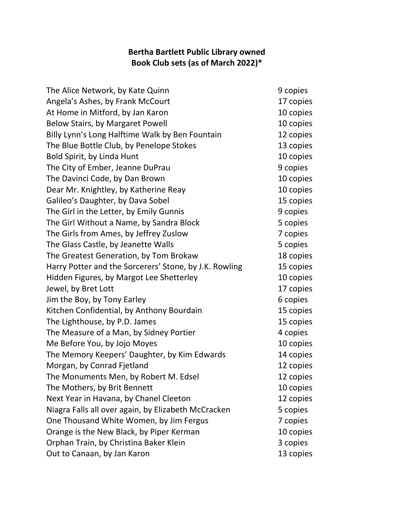## **Bertha Bartlett Public Library owned Book Club sets (as of March 2022)\***

| The Alice Network, by Kate Quinn                       | 9 copies  |
|--------------------------------------------------------|-----------|
| Angela's Ashes, by Frank McCourt                       | 17 copies |
| At Home in Mitford, by Jan Karon                       | 10 copies |
| Below Stairs, by Margaret Powell                       | 10 copies |
| Billy Lynn's Long Halftime Walk by Ben Fountain        | 12 copies |
| The Blue Bottle Club, by Penelope Stokes               | 13 copies |
| Bold Spirit, by Linda Hunt                             | 10 copies |
| The City of Ember, Jeanne DuPrau                       | 9 copies  |
| The Davinci Code, by Dan Brown                         | 10 copies |
| Dear Mr. Knightley, by Katherine Reay                  | 10 copies |
| Galileo's Daughter, by Dava Sobel                      | 15 copies |
| The Girl in the Letter, by Emily Gunnis                | 9 copies  |
| The Girl Without a Name, by Sandra Block               | 5 copies  |
| The Girls from Ames, by Jeffrey Zuslow                 | 7 copies  |
| The Glass Castle, by Jeanette Walls                    | 5 copies  |
| The Greatest Generation, by Tom Brokaw                 | 18 copies |
| Harry Potter and the Sorcerers' Stone, by J.K. Rowling | 15 copies |
| Hidden Figures, by Margot Lee Shetterley               | 10 copies |
| Jewel, by Bret Lott                                    | 17 copies |
| Jim the Boy, by Tony Earley                            | 6 copies  |
| Kitchen Confidential, by Anthony Bourdain              | 15 copies |
| The Lighthouse, by P.D. James                          | 15 copies |
| The Measure of a Man, by Sidney Portier                | 4 copies  |
| Me Before You, by Jojo Moyes                           | 10 copies |
| The Memory Keepers' Daughter, by Kim Edwards           | 14 copies |
| Morgan, by Conrad Fjetland                             | 12 copies |
| The Monuments Men, by Robert M. Edsel                  | 12 copies |
| The Mothers, by Brit Bennett                           | 10 copies |
| Next Year in Havana, by Chanel Cleeton                 | 12 copies |
| Niagra Falls all over again, by Elizabeth McCracken    | 5 copies  |
| One Thousand White Women, by Jim Fergus                | 7 copies  |
| Orange is the New Black, by Piper Kerman               | 10 copies |
| Orphan Train, by Christina Baker Klein                 | 3 copies  |
| Out to Canaan, by Jan Karon                            | 13 copies |